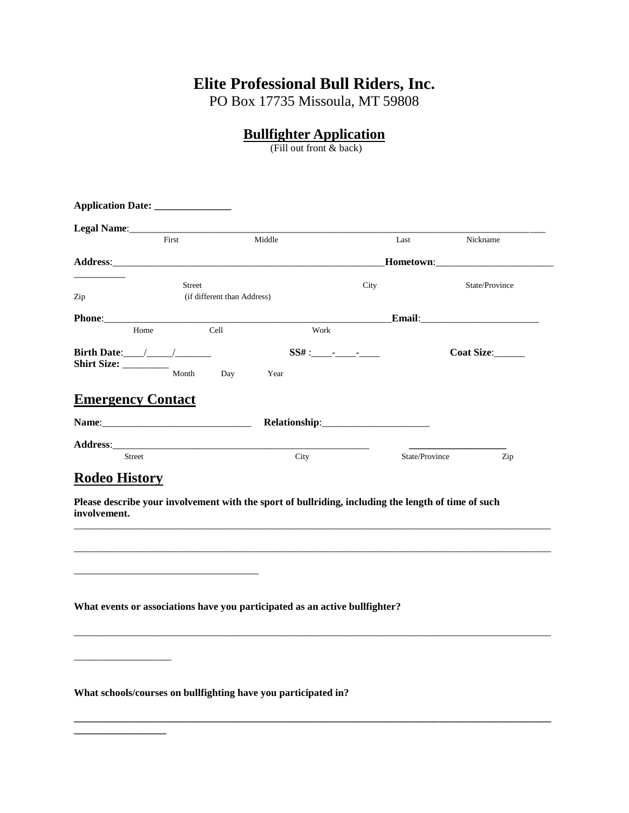# **Elite Professional Bull Riders, Inc.**

PO Box 17735 Missoula, MT 59808

## **Bullfighter Application**

(Fill out front & back)

|                                                                             | First                       | Middle                                                                                                                                                                                                                                 | Last                                                                                                | Nickname                                |
|-----------------------------------------------------------------------------|-----------------------------|----------------------------------------------------------------------------------------------------------------------------------------------------------------------------------------------------------------------------------------|-----------------------------------------------------------------------------------------------------|-----------------------------------------|
|                                                                             |                             |                                                                                                                                                                                                                                        |                                                                                                     | <b>Hometown:_______________________</b> |
|                                                                             | <b>Street</b>               |                                                                                                                                                                                                                                        | City                                                                                                | State/Province                          |
| Zip                                                                         | (if different than Address) |                                                                                                                                                                                                                                        |                                                                                                     |                                         |
|                                                                             |                             |                                                                                                                                                                                                                                        |                                                                                                     | Email: No. 1998                         |
| Home                                                                        |                             | Cell                                                                                                                                                                                                                                   | Work                                                                                                |                                         |
| Birth Date: $\frac{1}{\sqrt{1-\frac{1}{2}}}\frac{1}{\sqrt{1-\frac{1}{2}}}}$ |                             |                                                                                                                                                                                                                                        |                                                                                                     | Coat Size:                              |
| Shirt Size:                                                                 | Month                       | Day<br>Year                                                                                                                                                                                                                            |                                                                                                     |                                         |
|                                                                             |                             |                                                                                                                                                                                                                                        |                                                                                                     |                                         |
| <b>Emergency Contact</b>                                                    |                             |                                                                                                                                                                                                                                        |                                                                                                     |                                         |
|                                                                             |                             |                                                                                                                                                                                                                                        |                                                                                                     |                                         |
|                                                                             |                             |                                                                                                                                                                                                                                        |                                                                                                     |                                         |
|                                                                             |                             |                                                                                                                                                                                                                                        |                                                                                                     |                                         |
| Street<br><b>Rodeo History</b>                                              |                             | Address: Andreas Address: Address: Address: Address: Address: Address: Address: Address: Address: Address: Address: Address: Address: Address: Address: Address: Address: Address: Address: Address: Address: Address: Address<br>City |                                                                                                     | State/Province<br>Zip                   |
| involvement.                                                                |                             |                                                                                                                                                                                                                                        | Please describe your involvement with the sport of bullriding, including the length of time of such |                                         |
|                                                                             |                             | What events or associations have you participated as an active bullfighter?                                                                                                                                                            |                                                                                                     |                                         |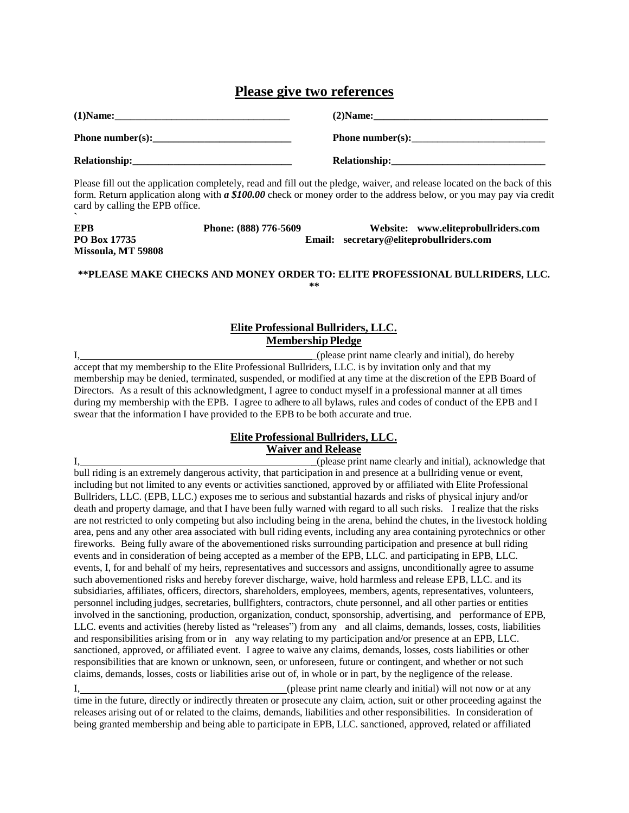## **Please give two references**

| $(1)$ Name:      | $(2)$ Name:      |
|------------------|------------------|
| Phone number(s): | Phone number(s): |
| Relationship:    | Relationship:    |

Please fill out the application completely, read and fill out the pledge, waiver, and release located on the back of this form. Return application along with *a \$100.00* check or money order to the address below, or you may pay via credit card by calling the EPB office.

| <b>EPB</b>         | Phone: (888) 776-5609 | Website: www.eliteprobullriders.com     |
|--------------------|-----------------------|-----------------------------------------|
| PO Box 17735       |                       | Email: secretary@eliteprobullriders.com |
| Missoula, MT 59808 |                       |                                         |

#### **\*\*PLEASE MAKE CHECKS AND MONEY ORDER TO: ELITE PROFESSIONAL BULLRIDERS, LLC. \*\***

### **Elite Professional Bullriders, LLC. Membership Pledge**

I, \_(please print name clearly and initial), do hereby accept that my membership to the Elite Professional Bullriders, LLC. is by invitation only and that my membership may be denied, terminated, suspended, or modified at any time at the discretion of the EPB Board of Directors. As a result of this acknowledgment, I agree to conduct myself in a professional manner at all times during my membership with the EPB. I agree to adhere to all bylaws, rules and codes of conduct of the EPB and I swear that the information I have provided to the EPB to be both accurate and true.

### **Elite Professional Bullriders, LLC. Waiver and Release**

I, \_(please print name clearly and initial), acknowledge that bull riding is an extremely dangerous activity, that participation in and presence at a bullriding venue or event, including but not limited to any events or activities sanctioned, approved by or affiliated with Elite Professional Bullriders, LLC. (EPB, LLC.) exposes me to serious and substantial hazards and risks of physical injury and/or death and property damage, and that I have been fully warned with regard to all such risks. I realize that the risks are not restricted to only competing but also including being in the arena, behind the chutes, in the livestock holding area, pens and any other area associated with bull riding events, including any area containing pyrotechnics or other fireworks. Being fully aware of the abovementioned risks surrounding participation and presence at bull riding events and in consideration of being accepted as a member of the EPB, LLC. and participating in EPB, LLC. events, I, for and behalf of my heirs, representatives and successors and assigns, unconditionally agree to assume such abovementioned risks and hereby forever discharge, waive, hold harmless and release EPB, LLC. and its subsidiaries, affiliates, officers, directors, shareholders, employees, members, agents, representatives, volunteers, personnel including judges, secretaries, bullfighters, contractors, chute personnel, and all other parties or entities involved in the sanctioning, production, organization, conduct, sponsorship, advertising, and performance of EPB, LLC. events and activities (hereby listed as "releases") from any and all claims, demands, losses, costs, liabilities and responsibilities arising from or in any way relating to my participation and/or presence at an EPB, LLC. sanctioned, approved, or affiliated event. I agree to waive any claims, demands, losses, costs liabilities or other responsibilities that are known or unknown, seen, or unforeseen, future or contingent, and whether or not such claims, demands, losses, costs or liabilities arise out of, in whole or in part, by the negligence of the release.

I, (please print name clearly and initial) will not now or at any time in the future, directly or indirectly threaten or prosecute any claim, action, suit or other proceeding against the releases arising out of or related to the claims, demands, liabilities and other responsibilities. In consideration of being granted membership and being able to participate in EPB, LLC. sanctioned, approved, related or affiliated